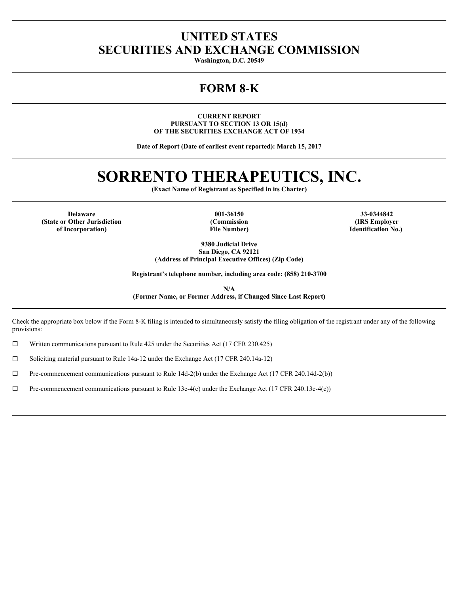# **UNITED STATES SECURITIES AND EXCHANGE COMMISSION**

**Washington, D.C. 20549**

## **FORM 8-K**

**CURRENT REPORT PURSUANT TO SECTION 13 OR 15(d) OF THE SECURITIES EXCHANGE ACT OF 1934**

**Date of Report (Date of earliest event reported): March 15, 2017**

# **SORRENTO THERAPEUTICS, INC.**

**(Exact Name of Registrant as Specified in its Charter)**

**Delaware 001-36150 33-0344842 (State or Other Jurisdiction of Incorporation)**

**(Commission File Number)**

**(IRS Employer Identification No.)** 

**9380 Judicial Drive San Diego, CA 92121 (Address of Principal Executive Offices) (Zip Code)**

**Registrant's telephone number, including area code: (858) 210-3700**

**N/A (Former Name, or Former Address, if Changed Since Last Report)**

Check the appropriate box below if the Form 8-K filing is intended to simultaneously satisfy the filing obligation of the registrant under any of the following provisions:

 $\Box$  Written communications pursuant to Rule 425 under the Securities Act (17 CFR 230.425)

□ Soliciting material pursuant to Rule 14a-12 under the Exchange Act (17 CFR 240.14a-12)

 $\Box$  Pre-commencement communications pursuant to Rule 14d-2(b) under the Exchange Act (17 CFR 240.14d-2(b))

 $\Box$  Pre-commencement communications pursuant to Rule 13e-4(c) under the Exchange Act (17 CFR 240.13e-4(c))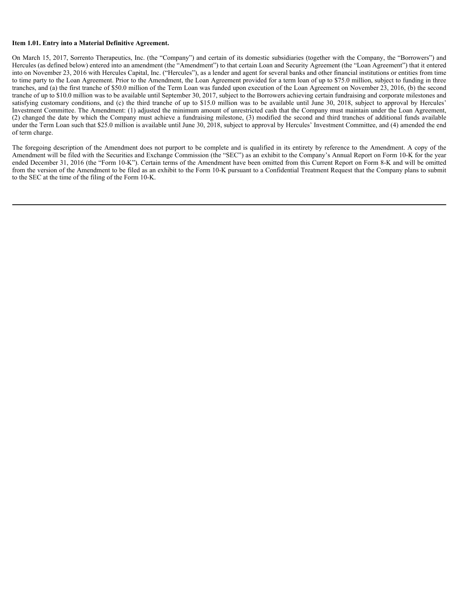#### **Item 1.01. Entry into a Material Definitive Agreement.**

On March 15, 2017, Sorrento Therapeutics, Inc. (the "Company") and certain of its domestic subsidiaries (together with the Company, the "Borrowers") and Hercules (as defined below) entered into an amendment (the "Amendment") to that certain Loan and Security Agreement (the "Loan Agreement") that it entered into on November 23, 2016 with Hercules Capital, Inc. ("Hercules"), as a lender and agent for several banks and other financial institutions or entities from time to time party to the Loan Agreement. Prior to the Amendment, the Loan Agreement provided for a term loan of up to \$75.0 million, subject to funding in three tranches, and (a) the first tranche of \$50.0 million of the Term Loan was funded upon execution of the Loan Agreement on November 23, 2016, (b) the second tranche of up to \$10.0 million was to be available until September 30, 2017, subject to the Borrowers achieving certain fundraising and corporate milestones and satisfying customary conditions, and (c) the third tranche of up to \$15.0 million was to be available until June 30, 2018, subject to approval by Hercules' Investment Committee. The Amendment: (1) adjusted the minimum amount of unrestricted cash that the Company must maintain under the Loan Agreement, (2) changed the date by which the Company must achieve a fundraising milestone, (3) modified the second and third tranches of additional funds available under the Term Loan such that \$25.0 million is available until June 30, 2018, subject to approval by Hercules' Investment Committee, and (4) amended the end of term charge.

The foregoing description of the Amendment does not purport to be complete and is qualified in its entirety by reference to the Amendment. A copy of the Amendment will be filed with the Securities and Exchange Commission (the "SEC") as an exhibit to the Company's Annual Report on Form 10-K for the year ended December 31, 2016 (the "Form 10-K"). Certain terms of the Amendment have been omitted from this Current Report on Form 8-K and will be omitted from the version of the Amendment to be filed as an exhibit to the Form 10-K pursuant to a Confidential Treatment Request that the Company plans to submit to the SEC at the time of the filing of the Form 10-K.